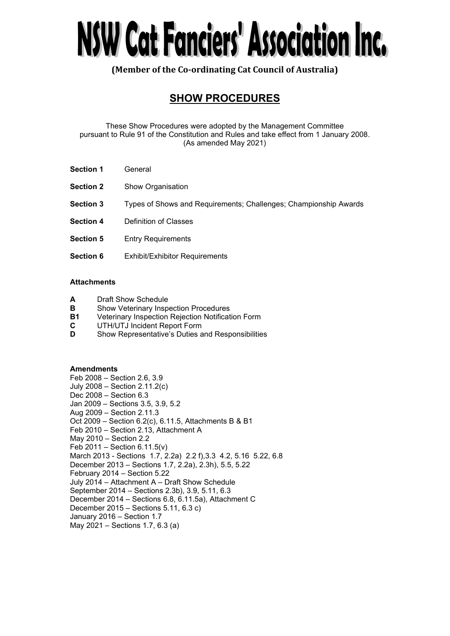# NSW Cat Fanciers' Association Inc.

**(Member of the Co-ordinating Cat Council of Australia)** 

# **SHOW PROCEDURES**

These Show Procedures were adopted by the Management Committee pursuant to Rule 91 of the Constitution and Rules and take effect from 1 January 2008. (As amended May 2021)

- **Section 1** General
- **Section 2** Show Organisation
- **Section 3** Types of Shows and Requirements; Challenges; Championship Awards
- **Section 4** Definition of Classes
- **Section 5** Entry Requirements
- **Section 6** Exhibit/Exhibitor Requirements

# **Attachments**

- **A** Draft Show Schedule
- **B** Show Veterinary Inspection Procedures
- **B1** Veterinary Inspection Rejection Notification Form
- **C** UTH/UTJ Incident Report Form
- **D** Show Representative's Duties and Responsibilities

# **Amendments**

Feb 2008 – Section 2.6, 3.9 July 2008 – Section 2.11.2(c) Dec 2008 – Section 6.3 Jan 2009 – Sections 3.5, 3.9, 5.2 Aug 2009 – Section 2.11.3 Oct 2009 – Section 6.2(c), 6.11.5, Attachments B & B1 Feb 2010 – Section 2.13, Attachment A May 2010 – Section 2.2 Feb 2011 – Section 6.11.5(v) March 2013 - Sections 1.7, 2.2a) 2.2 f),3.3 4.2, 5.16 5.22, 6.8 December 2013 – Sections 1.7, 2.2a), 2.3h), 5.5, 5.22 February 2014 – Section 5.22 July 2014 – Attachment A – Draft Show Schedule September 2014 – Sections 2.3b), 3.9, 5.11, 6.3 December 2014 – Sections 6.8, 6.11.5a), Attachment C December 2015 – Sections 5.11, 6.3 c) January 2016 – Section 1.7 May 2021 – Sections 1.7, 6.3 (a)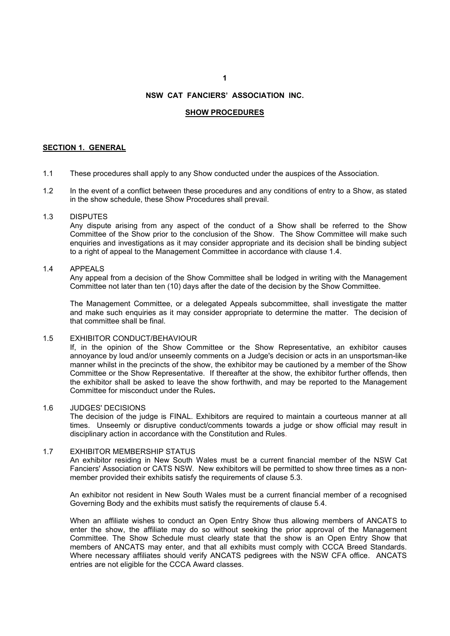### **1**

# **NSW CAT FANCIERS' ASSOCIATION INC.**

### **SHOW PROCEDURES**

# **SECTION 1. GENERAL**

- 1.1 These procedures shall apply to any Show conducted under the auspices of the Association.
- 1.2 In the event of a conflict between these procedures and any conditions of entry to a Show, as stated in the show schedule, these Show Procedures shall prevail.

### 1.3 DISPUTES

Any dispute arising from any aspect of the conduct of a Show shall be referred to the Show Committee of the Show prior to the conclusion of the Show. The Show Committee will make such enquiries and investigations as it may consider appropriate and its decision shall be binding subject to a right of appeal to the Management Committee in accordance with clause 1.4.

### 1.4 APPEALS

Any appeal from a decision of the Show Committee shall be lodged in writing with the Management Committee not later than ten (10) days after the date of the decision by the Show Committee.

The Management Committee, or a delegated Appeals subcommittee, shall investigate the matter and make such enquiries as it may consider appropriate to determine the matter. The decision of that committee shall be final.

# 1.5 EXHIBITOR CONDUCT/BEHAVIOUR

If, in the opinion of the Show Committee or the Show Representative, an exhibitor causes annoyance by loud and/or unseemly comments on a Judge's decision or acts in an unsportsman-like manner whilst in the precincts of the show, the exhibitor may be cautioned by a member of the Show Committee or the Show Representative. If thereafter at the show, the exhibitor further offends, then the exhibitor shall be asked to leave the show forthwith, and may be reported to the Management Committee for misconduct under the Rules**.**

### 1.6 JUDGES' DECISIONS

The decision of the judge is FINAL. Exhibitors are required to maintain a courteous manner at all times. Unseemly or disruptive conduct/comments towards a judge or show official may result in disciplinary action in accordance with the Constitution and Rules.

### 1.7 EXHIBITOR MEMBERSHIP STATUS

An exhibitor residing in New South Wales must be a current financial member of the NSW Cat Fanciers' Association or CATS NSW. New exhibitors will be permitted to show three times as a nonmember provided their exhibits satisfy the requirements of clause 5.3.

An exhibitor not resident in New South Wales must be a current financial member of a recognised Governing Body and the exhibits must satisfy the requirements of clause 5.4.

When an affiliate wishes to conduct an Open Entry Show thus allowing members of ANCATS to enter the show, the affiliate may do so without seeking the prior approval of the Management Committee. The Show Schedule must clearly state that the show is an Open Entry Show that members of ANCATS may enter, and that all exhibits must comply with CCCA Breed Standards. Where necessary affiliates should verify ANCATS pedigrees with the NSW CFA office. ANCATS entries are not eligible for the CCCA Award classes.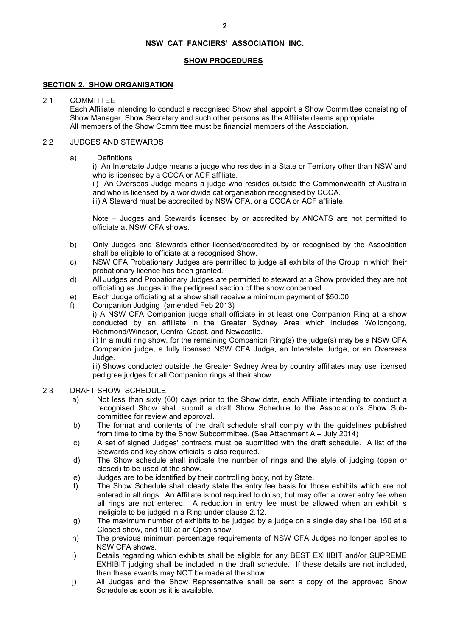# **SHOW PROCEDURES**

# **SECTION 2. SHOW ORGANISATION**

### 2.1 COMMITTEE

Each Affiliate intending to conduct a recognised Show shall appoint a Show Committee consisting of Show Manager, Show Secretary and such other persons as the Affiliate deems appropriate. All members of the Show Committee must be financial members of the Association.

### 2.2 JUDGES AND STEWARDS

a) Definitions

i) An Interstate Judge means a judge who resides in a State or Territory other than NSW and who is licensed by a CCCA or ACF affiliate.

ii) An Overseas Judge means a judge who resides outside the Commonwealth of Australia and who is licensed by a worldwide cat organisation recognised by CCCA.

iii) A Steward must be accredited by NSW CFA, or a CCCA or ACF affiliate.

Note – Judges and Stewards licensed by or accredited by ANCATS are not permitted to officiate at NSW CFA shows.

- b) Only Judges and Stewards either licensed/accredited by or recognised by the Association shall be eligible to officiate at a recognised Show.
- c) NSW CFA Probationary Judges are permitted to judge all exhibits of the Group in which their probationary licence has been granted.
- d) All Judges and Probationary Judges are permitted to steward at a Show provided they are not officiating as Judges in the pedigreed section of the show concerned.
- e) Each Judge officiating at a show shall receive a minimum payment of \$50.00
- f) Companion Judging (amended Feb 2013)

i) A NSW CFA Companion judge shall officiate in at least one Companion Ring at a show conducted by an affiliate in the Greater Sydney Area which includes Wollongong, Richmond/Windsor, Central Coast, and Newcastle.

ii) In a multi ring show, for the remaining Companion Ring(s) the judge(s) may be a NSW CFA Companion judge, a fully licensed NSW CFA Judge, an Interstate Judge, or an Overseas Judge.

iii) Shows conducted outside the Greater Sydney Area by country affiliates may use licensed pedigree judges for all Companion rings at their show.

- 2.3 DRAFT SHOW SCHEDULE
	- a) Not less than sixty (60) days prior to the Show date, each Affiliate intending to conduct a recognised Show shall submit a draft Show Schedule to the Association's Show Subcommittee for review and approval.
	- b) The format and contents of the draft schedule shall comply with the guidelines published from time to time by the Show Subcommittee. (See Attachment A – July 2014)
	- c) A set of signed Judges' contracts must be submitted with the draft schedule. A list of the Stewards and key show officials is also required.
	- d) The Show schedule shall indicate the number of rings and the style of judging (open or closed) to be used at the show.
	- e) Judges are to be identified by their controlling body, not by State.
	- f) The Show Schedule shall clearly state the entry fee basis for those exhibits which are not entered in all rings. An Affiliate is not required to do so, but may offer a lower entry fee when all rings are not entered. A reduction in entry fee must be allowed when an exhibit is ineligible to be judged in a Ring under clause 2.12.
	- g) The maximum number of exhibits to be judged by a judge on a single day shall be 150 at a Closed show, and 100 at an Open show.
	- h) The previous minimum percentage requirements of NSW CFA Judges no longer applies to NSW CFA shows.
	- i) Details regarding which exhibits shall be eligible for any BEST EXHIBIT and/or SUPREME EXHIBIT judging shall be included in the draft schedule. If these details are not included, then these awards may NOT be made at the show.
	- j) All Judges and the Show Representative shall be sent a copy of the approved Show Schedule as soon as it is available.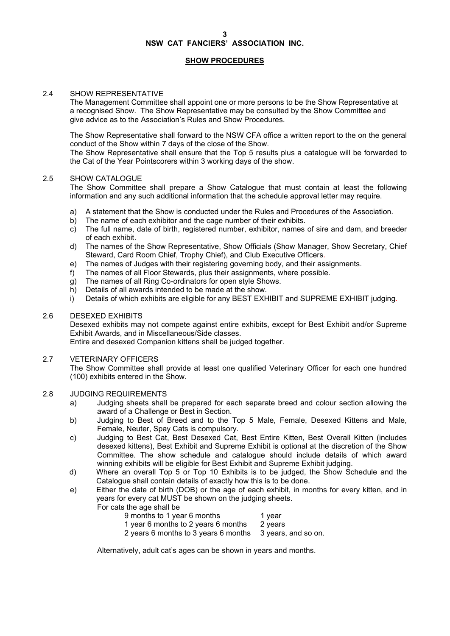# **SHOW PROCEDURES**

# 2.4 SHOW REPRESENTATIVE

 The Management Committee shall appoint one or more persons to be the Show Representative at a recognised Show. The Show Representative may be consulted by the Show Committee and give advice as to the Association's Rules and Show Procedures.

The Show Representative shall forward to the NSW CFA office a written report to the on the general conduct of the Show within 7 days of the close of the Show.

The Show Representative shall ensure that the Top 5 results plus a catalogue will be forwarded to the Cat of the Year Pointscorers within 3 working days of the show.

# 2.5 SHOW CATALOGUE

The Show Committee shall prepare a Show Catalogue that must contain at least the following information and any such additional information that the schedule approval letter may require.

- a) A statement that the Show is conducted under the Rules and Procedures of the Association.
- b) The name of each exhibitor and the cage number of their exhibits.
- c) The full name, date of birth, registered number, exhibitor, names of sire and dam, and breeder of each exhibit.
- d) The names of the Show Representative, Show Officials (Show Manager, Show Secretary, Chief Steward, Card Room Chief, Trophy Chief), and Club Executive Officers.
- e) The names of Judges with their registering governing body, and their assignments.
- f) The names of all Floor Stewards, plus their assignments, where possible.
- g) The names of all Ring Co-ordinators for open style Shows.
- h) Details of all awards intended to be made at the show.
- i) Details of which exhibits are eligible for any BEST EXHIBIT and SUPREME EXHIBIT judging.

### 2.6 DESEXED EXHIBITS

Desexed exhibits may not compete against entire exhibits, except for Best Exhibit and/or Supreme Exhibit Awards, and in Miscellaneous/Side classes.

Entire and desexed Companion kittens shall be judged together.

# 2.7 VETERINARY OFFICERS

The Show Committee shall provide at least one qualified Veterinary Officer for each one hundred (100) exhibits entered in the Show.

# 2.8 JUDGING REQUIREMENTS

- a) Judging sheets shall be prepared for each separate breed and colour section allowing the award of a Challenge or Best in Section.
- b) Judging to Best of Breed and to the Top 5 Male, Female, Desexed Kittens and Male, Female, Neuter, Spay Cats is compulsory.
- c) Judging to Best Cat, Best Desexed Cat, Best Entire Kitten, Best Overall Kitten (includes desexed kittens), Best Exhibit and Supreme Exhibit is optional at the discretion of the Show Committee. The show schedule and catalogue should include details of which award winning exhibits will be eligible for Best Exhibit and Supreme Exhibit judging.
- d) Where an overall Top 5 or Top 10 Exhibits is to be judged, the Show Schedule and the Catalogue shall contain details of exactly how this is to be done.
- e) Either the date of birth (DOB) or the age of each exhibit, in months for every kitten, and in years for every cat MUST be shown on the judging sheets.

For cats the age shall be

| 9 months to 1 year 6 months                              | 1 year  |
|----------------------------------------------------------|---------|
| 1 year 6 months to 2 years 6 months                      | 2 years |
| 2 years 6 months to 3 years 6 months 3 years, and so on. |         |

Alternatively, adult cat's ages can be shown in years and months.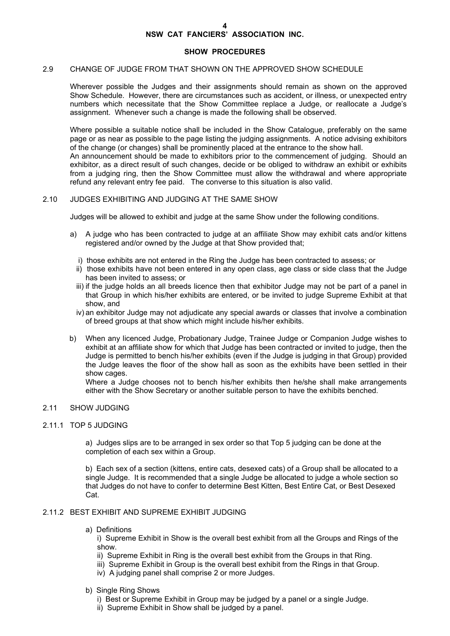### **SHOW PROCEDURES**

### 2.9 CHANGE OF JUDGE FROM THAT SHOWN ON THE APPROVED SHOW SCHEDULE

Wherever possible the Judges and their assignments should remain as shown on the approved Show Schedule. However, there are circumstances such as accident, or illness, or unexpected entry numbers which necessitate that the Show Committee replace a Judge, or reallocate a Judge's assignment. Whenever such a change is made the following shall be observed.

Where possible a suitable notice shall be included in the Show Catalogue, preferably on the same page or as near as possible to the page listing the judging assignments. A notice advising exhibitors of the change (or changes) shall be prominently placed at the entrance to the show hall.

An announcement should be made to exhibitors prior to the commencement of judging. Should an exhibitor, as a direct result of such changes, decide or be obliged to withdraw an exhibit or exhibits from a judging ring, then the Show Committee must allow the withdrawal and where appropriate refund any relevant entry fee paid. The converse to this situation is also valid.

### 2.10 JUDGES EXHIBITING AND JUDGING AT THE SAME SHOW

Judges will be allowed to exhibit and judge at the same Show under the following conditions.

- a) A judge who has been contracted to judge at an affiliate Show may exhibit cats and/or kittens registered and/or owned by the Judge at that Show provided that;
	- i) those exhibits are not entered in the Ring the Judge has been contracted to assess; or
	- ii) those exhibits have not been entered in any open class, age class or side class that the Judge has been invited to assess; or
	- iii) if the judge holds an all breeds licence then that exhibitor Judge may not be part of a panel in that Group in which his/her exhibits are entered, or be invited to judge Supreme Exhibit at that show, and
	- iv) an exhibitor Judge may not adjudicate any special awards or classes that involve a combination of breed groups at that show which might include his/her exhibits.
- b) When any licenced Judge, Probationary Judge, Trainee Judge or Companion Judge wishes to exhibit at an affiliate show for which that Judge has been contracted or invited to judge, then the Judge is permitted to bench his/her exhibits (even if the Judge is judging in that Group) provided the Judge leaves the floor of the show hall as soon as the exhibits have been settled in their show cages.

Where a Judge chooses not to bench his/her exhibits then he/she shall make arrangements either with the Show Secretary or another suitable person to have the exhibits benched.

# 2.11 SHOW JUDGING

### 2.11.1 TOP 5 JUDGING

a) Judges slips are to be arranged in sex order so that Top 5 judging can be done at the completion of each sex within a Group.

b) Each sex of a section (kittens, entire cats, desexed cats) of a Group shall be allocated to a single Judge. It is recommended that a single Judge be allocated to judge a whole section so that Judges do not have to confer to determine Best Kitten, Best Entire Cat, or Best Desexed Cat.

# 2.11.2 BEST EXHIBIT AND SUPREME EXHIBIT JUDGING

a) Definitions

i) Supreme Exhibit in Show is the overall best exhibit from all the Groups and Rings of the show.

- ii) Supreme Exhibit in Ring is the overall best exhibit from the Groups in that Ring.
- iii) Supreme Exhibit in Group is the overall best exhibit from the Rings in that Group.
- iv) A judging panel shall comprise 2 or more Judges.
- b) Single Ring Shows
	- i) Best or Supreme Exhibit in Group may be judged by a panel or a single Judge.
	- ii) Supreme Exhibit in Show shall be judged by a panel.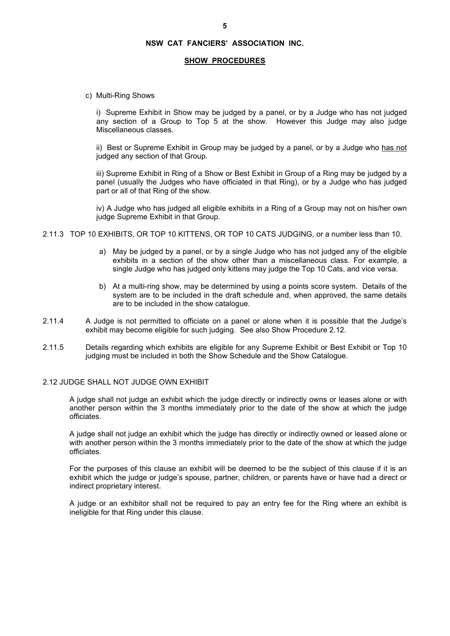### **SHOW PROCEDURES**

c) Multi-Ring Shows

i) Supreme Exhibit in Show may be judged by a panel, or by a Judge who has not judged any section of a Group to Top 5 at the show. However this Judge may also judge Miscellaneous classes.

ii) Best or Supreme Exhibit in Group may be judged by a panel, or by a Judge who has not judged any section of that Group.

iii) Supreme Exhibit in Ring of a Show or Best Exhibit in Group of a Ring may be judged by a panel (usually the Judges who have officiated in that Ring), or by a Judge who has judged part or all of that Ring of the show.

iv) A Judge who has judged all eligible exhibits in a Ring of a Group may not on his/her own judge Supreme Exhibit in that Group.

- 2.11.3 TOP 10 EXHIBITS, OR TOP 10 KITTENS, OR TOP 10 CATS JUDGING, or a number less than 10.
	- a) May be judged by a panel, or by a single Judge who has not judged any of the eligible exhibits in a section of the show other than a miscellaneous class. For example, a single Judge who has judged only kittens may judge the Top 10 Cats, and vice versa.
	- b) At a multi-ring show, may be determined by using a points score system. Details of the system are to be included in the draft schedule and, when approved, the same details are to be included in the show catalogue.
- 2.11.4 A Judge is not permitted to officiate on a panel or alone when it is possible that the Judge's exhibit may become eligible for such judging. See also Show Procedure 2.12.
- 2.11.5 Details regarding which exhibits are eligible for any Supreme Exhibit or Best Exhibit or Top 10 judging must be included in both the Show Schedule and the Show Catalogue.

### 2.12 JUDGE SHALL NOT JUDGE OWN EXHIBIT

A judge shall not judge an exhibit which the judge directly or indirectly owns or leases alone or with another person within the 3 months immediately prior to the date of the show at which the judge officiates.

A judge shall not judge an exhibit which the judge has directly or indirectly owned or leased alone or with another person within the 3 months immediately prior to the date of the show at which the judge officiates.

For the purposes of this clause an exhibit will be deemed to be the subject of this clause if it is an exhibit which the judge or judge's spouse, partner, children, or parents have or have had a direct or indirect proprietary interest.

A judge or an exhibitor shall not be required to pay an entry fee for the Ring where an exhibit is ineligible for that Ring under this clause.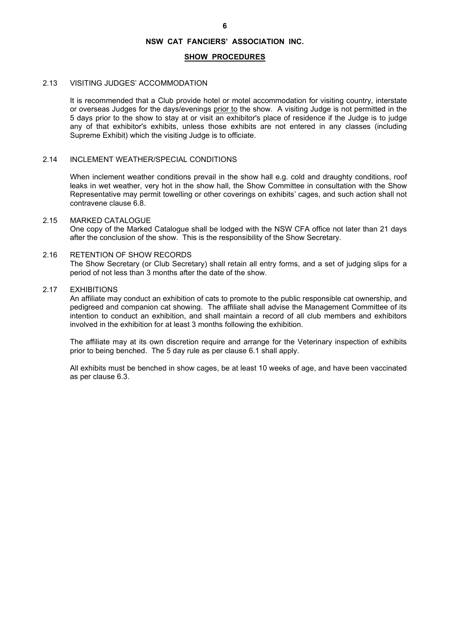### **SHOW PROCEDURES**

### 2.13 VISITING JUDGES' ACCOMMODATION

It is recommended that a Club provide hotel or motel accommodation for visiting country, interstate or overseas Judges for the days/evenings prior to the show. A visiting Judge is not permitted in the 5 days prior to the show to stay at or visit an exhibitor's place of residence if the Judge is to judge any of that exhibitor's exhibits, unless those exhibits are not entered in any classes (including Supreme Exhibit) which the visiting Judge is to officiate.

### 2.14 INCLEMENT WEATHER/SPECIAL CONDITIONS

 When inclement weather conditions prevail in the show hall e.g. cold and draughty conditions, roof leaks in wet weather, very hot in the show hall, the Show Committee in consultation with the Show Representative may permit towelling or other coverings on exhibits' cages, and such action shall not contravene clause 6.8.

### 2.15 MARKED CATALOGUE

 One copy of the Marked Catalogue shall be lodged with the NSW CFA office not later than 21 days after the conclusion of the show. This is the responsibility of the Show Secretary.

# 2.16 RETENTION OF SHOW RECORDS

 The Show Secretary (or Club Secretary) shall retain all entry forms, and a set of judging slips for a period of not less than 3 months after the date of the show.

### 2.17 EXHIBITIONS

 An affiliate may conduct an exhibition of cats to promote to the public responsible cat ownership, and pedigreed and companion cat showing. The affiliate shall advise the Management Committee of its intention to conduct an exhibition, and shall maintain a record of all club members and exhibitors involved in the exhibition for at least 3 months following the exhibition.

 The affiliate may at its own discretion require and arrange for the Veterinary inspection of exhibits prior to being benched. The 5 day rule as per clause 6.1 shall apply.

 All exhibits must be benched in show cages, be at least 10 weeks of age, and have been vaccinated as per clause 6.3.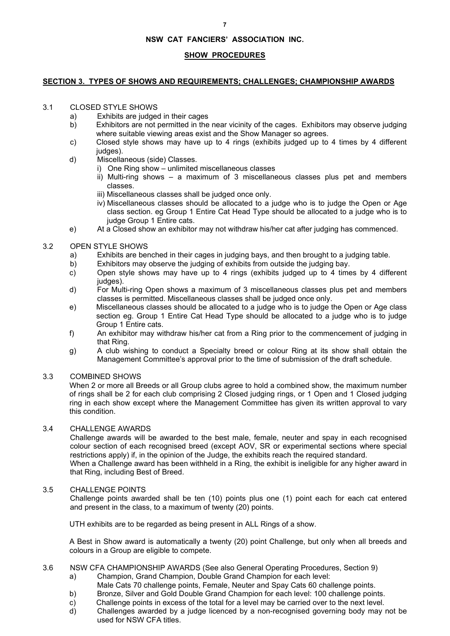# **SHOW PROCEDURES**

### **SECTION 3. TYPES OF SHOWS AND REQUIREMENTS; CHALLENGES; CHAMPIONSHIP AWARDS**

# 3.1 CLOSED STYLE SHOWS

- a) Exhibits are judged in their cages
- b) Exhibitors are not permitted in the near vicinity of the cages. Exhibitors may observe judging where suitable viewing areas exist and the Show Manager so agrees.
- c) Closed style shows may have up to 4 rings (exhibits judged up to 4 times by 4 different judges).
- d) Miscellaneous (side) Classes.
	- i) One Ring show unlimited miscellaneous classes
		- ii) Multi-ring shows a maximum of 3 miscellaneous classes plus pet and members classes.
		- iii) Miscellaneous classes shall be judged once only.
	- iv) Miscellaneous classes should be allocated to a judge who is to judge the Open or Age class section. eg Group 1 Entire Cat Head Type should be allocated to a judge who is to judge Group 1 Entire cats.
- e) At a Closed show an exhibitor may not withdraw his/her cat after judging has commenced.

# 3.2 OPEN STYLE SHOWS

- a) Exhibits are benched in their cages in judging bays, and then brought to a judging table.
- b) Exhibitors may observe the judging of exhibits from outside the judging bay.
- c) Open style shows may have up to 4 rings (exhibits judged up to 4 times by 4 different judges).
- d) For Multi-ring Open shows a maximum of 3 miscellaneous classes plus pet and members classes is permitted. Miscellaneous classes shall be judged once only.
- e) Miscellaneous classes should be allocated to a judge who is to judge the Open or Age class section eg. Group 1 Entire Cat Head Type should be allocated to a judge who is to judge Group 1 Entire cats.
- f) An exhibitor may withdraw his/her cat from a Ring prior to the commencement of judging in that Ring.
- g) A club wishing to conduct a Specialty breed or colour Ring at its show shall obtain the Management Committee's approval prior to the time of submission of the draft schedule.

# 3.3 COMBINED SHOWS

 When 2 or more all Breeds or all Group clubs agree to hold a combined show, the maximum number of rings shall be 2 for each club comprising 2 Closed judging rings, or 1 Open and 1 Closed judging ring in each show except where the Management Committee has given its written approval to vary this condition.

# 3.4 CHALLENGE AWARDS

Challenge awards will be awarded to the best male, female, neuter and spay in each recognised colour section of each recognised breed (except AOV, SR or experimental sections where special restrictions apply) if, in the opinion of the Judge, the exhibits reach the required standard. When a Challenge award has been withheld in a Ring, the exhibit is ineligible for any higher award in that Ring, including Best of Breed.

# 3.5 CHALLENGE POINTS

 Challenge points awarded shall be ten (10) points plus one (1) point each for each cat entered and present in the class, to a maximum of twenty (20) points.

UTH exhibits are to be regarded as being present in ALL Rings of a show.

A Best in Show award is automatically a twenty (20) point Challenge, but only when all breeds and colours in a Group are eligible to compete.

- 3.6 NSW CFA CHAMPIONSHIP AWARDS (See also General Operating Procedures, Section 9)
	- a) Champion, Grand Champion, Double Grand Champion for each level:
		- Male Cats 70 challenge points, Female, Neuter and Spay Cats 60 challenge points.
	- b) Bronze, Silver and Gold Double Grand Champion for each level: 100 challenge points.
	- c) Challenge points in excess of the total for a level may be carried over to the next level.
	- d) Challenges awarded by a judge licenced by a non-recognised governing body may not be used for NSW CFA titles.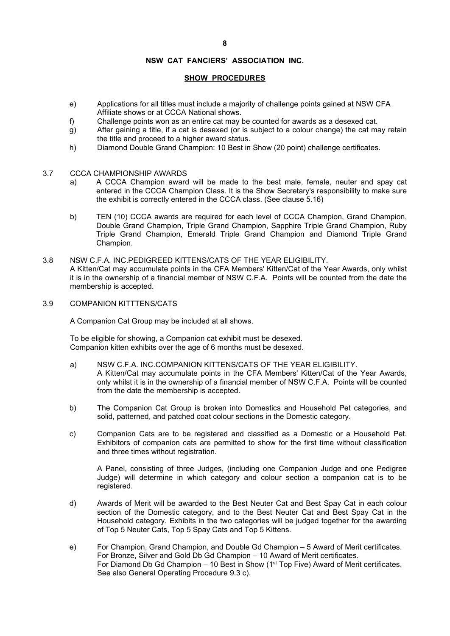### **8**

# **NSW CAT FANCIERS' ASSOCIATION INC.**

# **SHOW PROCEDURES**

- e) Applications for all titles must include a majority of challenge points gained at NSW CFA Affiliate shows or at CCCA National shows.
- f) Challenge points won as an entire cat may be counted for awards as a desexed cat.
- g) After gaining a title, if a cat is desexed (or is subject to a colour change) the cat may retain the title and proceed to a higher award status.
- h) Diamond Double Grand Champion: 10 Best in Show (20 point) challenge certificates.

# 3.7 CCCA CHAMPIONSHIP AWARDS

- a) A CCCA Champion award will be made to the best male, female, neuter and spay cat entered in the CCCA Champion Class. It is the Show Secretary's responsibility to make sure the exhibit is correctly entered in the CCCA class. (See clause 5.16)
- b) TEN (10) CCCA awards are required for each level of CCCA Champion, Grand Champion, Double Grand Champion, Triple Grand Champion, Sapphire Triple Grand Champion, Ruby Triple Grand Champion, Emerald Triple Grand Champion and Diamond Triple Grand Champion.
- 3.8 NSW C.F.A. INC.PEDIGREED KITTENS/CATS OF THE YEAR ELIGIBILITY. A Kitten/Cat may accumulate points in the CFA Members' Kitten/Cat of the Year Awards, only whilst it is in the ownership of a financial member of NSW C.F.A. Points will be counted from the date the membership is accepted.
- 3.9 COMPANION KITTTENS/CATS

A Companion Cat Group may be included at all shows.

To be eligible for showing, a Companion cat exhibit must be desexed. Companion kitten exhibits over the age of 6 months must be desexed.

- a) NSW C.F.A. INC.COMPANION KITTENS/CATS OF THE YEAR ELIGIBILITY. A Kitten/Cat may accumulate points in the CFA Members' Kitten/Cat of the Year Awards, only whilst it is in the ownership of a financial member of NSW C.F.A. Points will be counted from the date the membership is accepted.
- b) The Companion Cat Group is broken into Domestics and Household Pet categories, and solid, patterned, and patched coat colour sections in the Domestic category.
- c) Companion Cats are to be registered and classified as a Domestic or a Household Pet. Exhibitors of companion cats are permitted to show for the first time without classification and three times without registration.

 A Panel, consisting of three Judges, (including one Companion Judge and one Pedigree Judge) will determine in which category and colour section a companion cat is to be registered.

- d) Awards of Merit will be awarded to the Best Neuter Cat and Best Spay Cat in each colour section of the Domestic category, and to the Best Neuter Cat and Best Spay Cat in the Household category. Exhibits in the two categories will be judged together for the awarding of Top 5 Neuter Cats, Top 5 Spay Cats and Top 5 Kittens.
- e) For Champion, Grand Champion, and Double Gd Champion 5 Award of Merit certificates. For Bronze, Silver and Gold Db Gd Champion – 10 Award of Merit certificates. For Diamond Db Gd Champion – 10 Best in Show ( $1<sup>st</sup>$  Top Five) Award of Merit certificates. See also General Operating Procedure 9.3 c).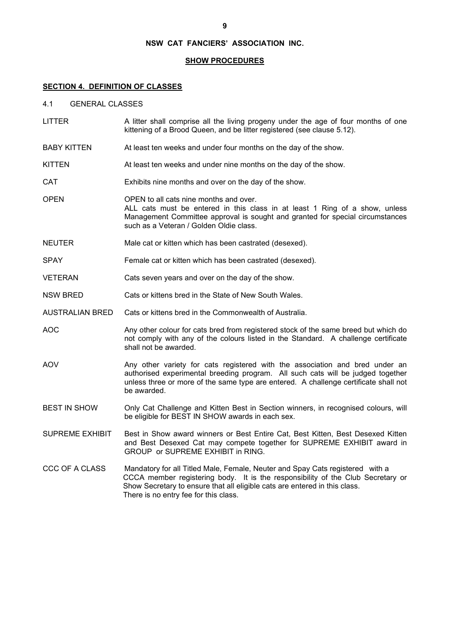### **SHOW PROCEDURES**

### **SECTION 4. DEFINITION OF CLASSES**

- 4.1 GENERAL CLASSES
- LITTER A litter shall comprise all the living progeny under the age of four months of one kittening of a Brood Queen, and be litter registered (see clause 5.12).
- BABY KITTEN At least ten weeks and under four months on the day of the show.
- KITTEN At least ten weeks and under nine months on the day of the show.
- CAT Exhibits nine months and over on the day of the show.
- OPEN OPEN to all cats nine months and over. ALL cats must be entered in this class in at least 1 Ring of a show, unless Management Committee approval is sought and granted for special circumstances such as a Veteran / Golden Oldie class.
- NEUTER Male cat or kitten which has been castrated (desexed).
- SPAY Female cat or kitten which has been castrated (desexed).
- VETERAN Cats seven years and over on the day of the show.
- NSW BRED Cats or kittens bred in the State of New South Wales.

AUSTRALIAN BRED Cats or kittens bred in the Commonwealth of Australia.

- AOC Any other colour for cats bred from registered stock of the same breed but which do not comply with any of the colours listed in the Standard. A challenge certificate shall not be awarded.
- AOV **Any other variety for cats registered with the association and bred under an** authorised experimental breeding program. All such cats will be judged together unless three or more of the same type are entered. A challenge certificate shall not be awarded.
- BEST IN SHOW Only Cat Challenge and Kitten Best in Section winners, in recognised colours, will be eligible for BEST IN SHOW awards in each sex.
- SUPREME EXHIBIT Best in Show award winners or Best Entire Cat, Best Kitten, Best Desexed Kitten and Best Desexed Cat may compete together for SUPREME EXHIBIT award in GROUP or SUPREME EXHIBIT in RING.
- CCC OF A CLASS Mandatory for all Titled Male, Female, Neuter and Spay Cats registered with a CCCA member registering body. It is the responsibility of the Club Secretary or Show Secretary to ensure that all eligible cats are entered in this class. There is no entry fee for this class.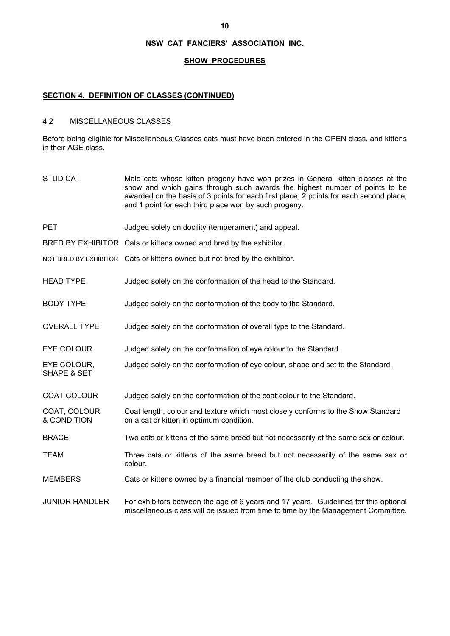### **SHOW PROCEDURES**

### **SECTION 4. DEFINITION OF CLASSES (CONTINUED)**

# 4.2 MISCELLANEOUS CLASSES

Before being eligible for Miscellaneous Classes cats must have been entered in the OPEN class, and kittens in their AGE class.

STUD CAT Male cats whose kitten progeny have won prizes in General kitten classes at the show and which gains through such awards the highest number of points to be awarded on the basis of 3 points for each first place, 2 points for each second place, and 1 point for each third place won by such progeny. PET Judged solely on docility (temperament) and appeal. BRED BY EXHIBITOR Cats or kittens owned and bred by the exhibitor. NOT BRED BY EXHIBITOR Cats or kittens owned but not bred by the exhibitor. HEAD TYPE Judged solely on the conformation of the head to the Standard. BODY TYPE Judged solely on the conformation of the body to the Standard. OVERALL TYPE Judged solely on the conformation of overall type to the Standard. EYE COLOUR Judged solely on the conformation of eye colour to the Standard. EYE COLOUR, Judged solely on the conformation of eye colour, shape and set to the Standard. SHAPE & SET COAT COLOUR Judged solely on the conformation of the coat colour to the Standard. COAT, COLOUR Coat length, colour and texture which most closely conforms to the Show Standard<br>& CONDITION on a cat or kitten in optimum condition. on a cat or kitten in optimum condition. BRACE Two cats or kittens of the same breed but not necessarily of the same sex or colour. TEAM Three cats or kittens of the same breed but not necessarily of the same sex or colour. MEMBERS Cats or kittens owned by a financial member of the club conducting the show. JUNIOR HANDLER For exhibitors between the age of 6 years and 17 years. Guidelines for this optional miscellaneous class will be issued from time to time by the Management Committee.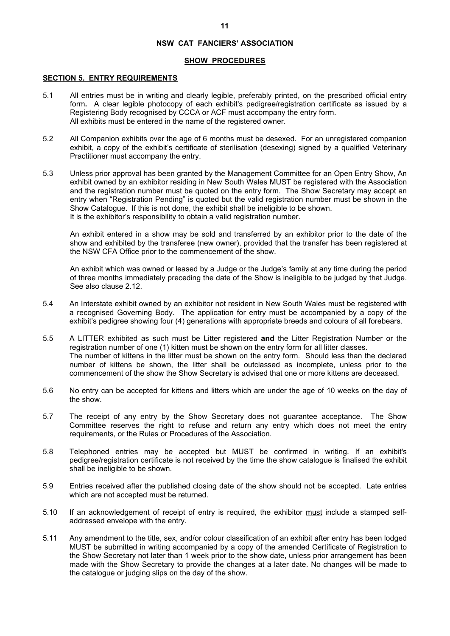### **SHOW PROCEDURES**

### **SECTION 5. ENTRY REQUIREMENTS**

- 5.1 All entries must be in writing and clearly legible, preferably printed, on the prescribed official entry form**.** A clear legible photocopy of each exhibit's pedigree/registration certificate as issued by a Registering Body recognised by CCCA or ACF must accompany the entry form. All exhibits must be entered in the name of the registered owner.
- 5.2 All Companion exhibits over the age of 6 months must be desexed. For an unregistered companion exhibit, a copy of the exhibit's certificate of sterilisation (desexing) signed by a qualified Veterinary Practitioner must accompany the entry.
- 5.3 Unless prior approval has been granted by the Management Committee for an Open Entry Show, An exhibit owned by an exhibitor residing in New South Wales MUST be registered with the Association and the registration number must be quoted on the entry form. The Show Secretary may accept an entry when "Registration Pending" is quoted but the valid registration number must be shown in the Show Catalogue. If this is not done, the exhibit shall be ineligible to be shown. It is the exhibitor's responsibility to obtain a valid registration number.

An exhibit entered in a show may be sold and transferred by an exhibitor prior to the date of the show and exhibited by the transferee (new owner), provided that the transfer has been registered at the NSW CFA Office prior to the commencement of the show.

An exhibit which was owned or leased by a Judge or the Judge's family at any time during the period of three months immediately preceding the date of the Show is ineligible to be judged by that Judge. See also clause 2.12.

- 5.4 An Interstate exhibit owned by an exhibitor not resident in New South Wales must be registered with a recognised Governing Body. The application for entry must be accompanied by a copy of the exhibit's pedigree showing four (4) generations with appropriate breeds and colours of all forebears.
- 5.5 A LITTER exhibited as such must be Litter registered **and** the Litter Registration Number or the registration number of one (1) kitten must be shown on the entry form for all litter classes. The number of kittens in the litter must be shown on the entry form. Should less than the declared number of kittens be shown, the litter shall be outclassed as incomplete, unless prior to the commencement of the show the Show Secretary is advised that one or more kittens are deceased.
- 5.6 No entry can be accepted for kittens and litters which are under the age of 10 weeks on the day of the show.
- 5.7 The receipt of any entry by the Show Secretary does not guarantee acceptance. The Show Committee reserves the right to refuse and return any entry which does not meet the entry requirements, or the Rules or Procedures of the Association.
- 5.8 Telephoned entries may be accepted but MUST be confirmed in writing. If an exhibit's pedigree/registration certificate is not received by the time the show catalogue is finalised the exhibit shall be ineligible to be shown.
- 5.9 Entries received after the published closing date of the show should not be accepted. Late entries which are not accepted must be returned.
- 5.10 If an acknowledgement of receipt of entry is required, the exhibitor must include a stamped selfaddressed envelope with the entry.
- 5.11 Any amendment to the title, sex, and/or colour classification of an exhibit after entry has been lodged MUST be submitted in writing accompanied by a copy of the amended Certificate of Registration to the Show Secretary not later than 1 week prior to the show date, unless prior arrangement has been made with the Show Secretary to provide the changes at a later date. No changes will be made to the catalogue or judging slips on the day of the show.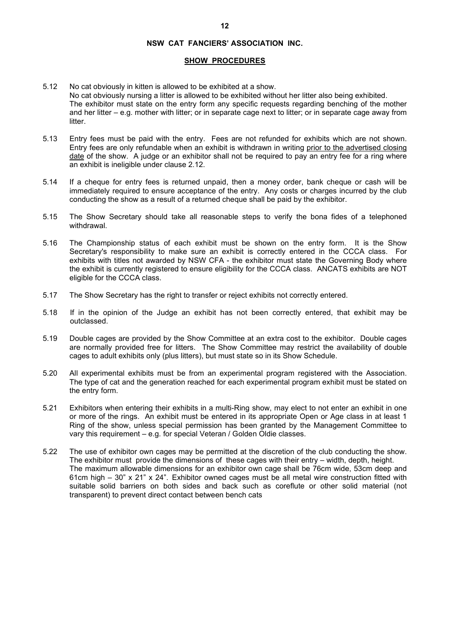### **SHOW PROCEDURES**

- 5.12 No cat obviously in kitten is allowed to be exhibited at a show. No cat obviously nursing a litter is allowed to be exhibited without her litter also being exhibited. The exhibitor must state on the entry form any specific requests regarding benching of the mother and her litter – e.g. mother with litter; or in separate cage next to litter; or in separate cage away from litter.
- 5.13 Entry fees must be paid with the entry. Fees are not refunded for exhibits which are not shown. Entry fees are only refundable when an exhibit is withdrawn in writing prior to the advertised closing date of the show. A judge or an exhibitor shall not be required to pay an entry fee for a ring where an exhibit is ineligible under clause 2.12.
- 5.14 If a cheque for entry fees is returned unpaid, then a money order, bank cheque or cash will be immediately required to ensure acceptance of the entry. Any costs or charges incurred by the club conducting the show as a result of a returned cheque shall be paid by the exhibitor.
- 5.15 The Show Secretary should take all reasonable steps to verify the bona fides of a telephoned withdrawal.
- 5.16 The Championship status of each exhibit must be shown on the entry form. It is the Show Secretary's responsibility to make sure an exhibit is correctly entered in the CCCA class. For exhibits with titles not awarded by NSW CFA - the exhibitor must state the Governing Body where the exhibit is currently registered to ensure eligibility for the CCCA class. ANCATS exhibits are NOT eligible for the CCCA class.
- 5.17 The Show Secretary has the right to transfer or reject exhibits not correctly entered.
- 5.18 If in the opinion of the Judge an exhibit has not been correctly entered, that exhibit may be outclassed.
- 5.19 Double cages are provided by the Show Committee at an extra cost to the exhibitor. Double cages are normally provided free for litters. The Show Committee may restrict the availability of double cages to adult exhibits only (plus litters), but must state so in its Show Schedule.
- 5.20 All experimental exhibits must be from an experimental program registered with the Association. The type of cat and the generation reached for each experimental program exhibit must be stated on the entry form.
- 5.21 Exhibitors when entering their exhibits in a multi-Ring show, may elect to not enter an exhibit in one or more of the rings. An exhibit must be entered in its appropriate Open or Age class in at least 1 Ring of the show, unless special permission has been granted by the Management Committee to vary this requirement – e.g. for special Veteran / Golden Oldie classes.
- 5.22 The use of exhibitor own cages may be permitted at the discretion of the club conducting the show. The exhibitor must provide the dimensions of these cages with their entry – width, depth, height. The maximum allowable dimensions for an exhibitor own cage shall be 76cm wide, 53cm deep and 61cm high – 30" x 21" x 24". Exhibitor owned cages must be all metal wire construction fitted with suitable solid barriers on both sides and back such as coreflute or other solid material (not transparent) to prevent direct contact between bench cats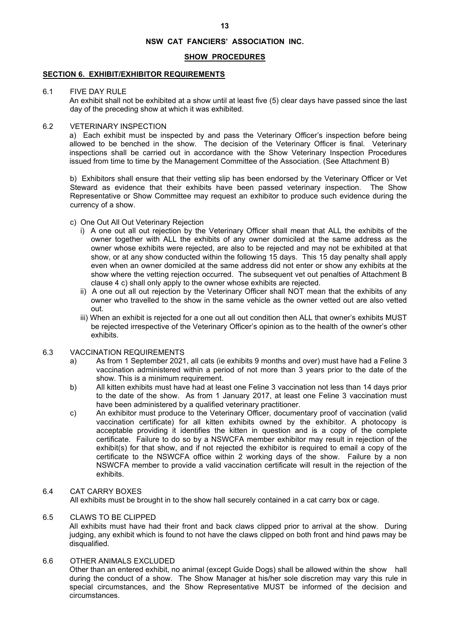### **SHOW PROCEDURES**

### **SECTION 6. EXHIBIT/EXHIBITOR REQUIREMENTS**

### 6.1 FIVE DAY RULE

An exhibit shall not be exhibited at a show until at least five (5) clear days have passed since the last day of the preceding show at which it was exhibited.

### 6.2 VETERINARY INSPECTION

 a) Each exhibit must be inspected by and pass the Veterinary Officer's inspection before being allowed to be benched in the show. The decision of the Veterinary Officer is final. Veterinary inspections shall be carried out in accordance with the Show Veterinary Inspection Procedures issued from time to time by the Management Committee of the Association. (See Attachment B)

b) Exhibitors shall ensure that their vetting slip has been endorsed by the Veterinary Officer or Vet Steward as evidence that their exhibits have been passed veterinary inspection. The Show Representative or Show Committee may request an exhibitor to produce such evidence during the currency of a show.

- c) One Out All Out Veterinary Rejection
	- i) A one out all out rejection by the Veterinary Officer shall mean that ALL the exhibits of the owner together with ALL the exhibits of any owner domiciled at the same address as the owner whose exhibits were rejected, are also to be rejected and may not be exhibited at that show, or at any show conducted within the following 15 days. This 15 day penalty shall apply even when an owner domiciled at the same address did not enter or show any exhibits at the show where the vetting rejection occurred. The subsequent vet out penalties of Attachment B clause 4 c) shall only apply to the owner whose exhibits are rejected.
	- ii) A one out all out rejection by the Veterinary Officer shall NOT mean that the exhibits of any owner who travelled to the show in the same vehicle as the owner vetted out are also vetted out.
	- iii) When an exhibit is rejected for a one out all out condition then ALL that owner's exhibits MUST be rejected irrespective of the Veterinary Officer's opinion as to the health of the owner's other exhibits.

# 6.3 VACCINATION REQUIREMENTS

- a) As from 1 September 2021, all cats (ie exhibits 9 months and over) must have had a Feline 3 vaccination administered within a period of not more than 3 years prior to the date of the show. This is a minimum requirement.
- b) All kitten exhibits must have had at least one Feline 3 vaccination not less than 14 days prior to the date of the show. As from 1 January 2017, at least one Feline 3 vaccination must have been administered by a qualified veterinary practitioner.
- c) An exhibitor must produce to the Veterinary Officer, documentary proof of vaccination (valid vaccination certificate) for all kitten exhibits owned by the exhibitor. A photocopy is acceptable providing it identifies the kitten in question and is a copy of the complete certificate. Failure to do so by a NSWCFA member exhibitor may result in rejection of the exhibit(s) for that show, and if not rejected the exhibitor is required to email a copy of the certificate to the NSWCFA office within 2 working days of the show. Failure by a non NSWCFA member to provide a valid vaccination certificate will result in the rejection of the exhibits.

# 6.4 CAT CARRY BOXES

All exhibits must be brought in to the show hall securely contained in a cat carry box or cage.

# 6.5 CLAWS TO BE CLIPPED

 All exhibits must have had their front and back claws clipped prior to arrival at the show. During judging, any exhibit which is found to not have the claws clipped on both front and hind paws may be disqualified.

# 6.6 OTHER ANIMALS EXCLUDED

 Other than an entered exhibit, no animal (except Guide Dogs) shall be allowed within the show hall during the conduct of a show. The Show Manager at his/her sole discretion may vary this rule in special circumstances, and the Show Representative MUST be informed of the decision and circumstances.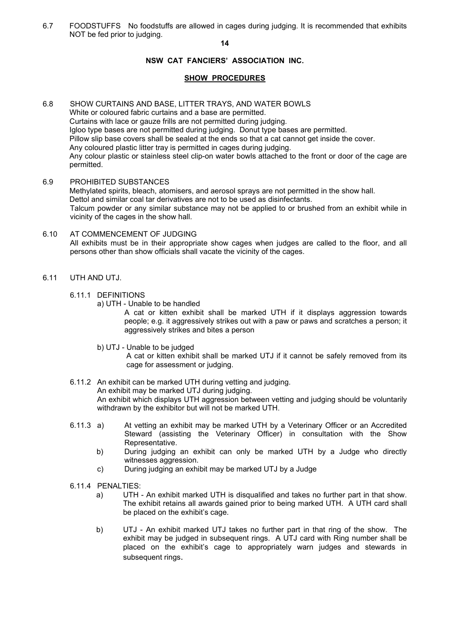6.7 FOODSTUFFS No foodstuffs are allowed in cages during judging. It is recommended that exhibits NOT be fed prior to judging.

**14** 

# **NSW CAT FANCIERS' ASSOCIATION INC.**

# **SHOW PROCEDURES**

- 6.8 SHOW CURTAINS AND BASE, LITTER TRAYS, AND WATER BOWLS White or coloured fabric curtains and a base are permitted. Curtains with lace or gauze frills are not permitted during judging. Igloo type bases are not permitted during judging. Donut type bases are permitted. Pillow slip base covers shall be sealed at the ends so that a cat cannot get inside the cover. Any coloured plastic litter tray is permitted in cages during judging. Any colour plastic or stainless steel clip-on water bowls attached to the front or door of the cage are permitted.
- 6.9 PROHIBITED SUBSTANCES Methylated spirits, bleach, atomisers, and aerosol sprays are not permitted in the show hall. Dettol and similar coal tar derivatives are not to be used as disinfectants. Talcum powder or any similar substance may not be applied to or brushed from an exhibit while in vicinity of the cages in the show hall.
- 6.10 AT COMMENCEMENT OF JUDGING All exhibits must be in their appropriate show cages when judges are called to the floor, and all persons other than show officials shall vacate the vicinity of the cages.
- 6.11 UTH AND UTJ.
	- 6.11.1 DEFINITIONS
		- a) UTH Unable to be handled

A cat or kitten exhibit shall be marked UTH if it displays aggression towards people; e.g. it aggressively strikes out with a paw or paws and scratches a person; it aggressively strikes and bites a person

b) UTJ - Unable to be judged

 A cat or kitten exhibit shall be marked UTJ if it cannot be safely removed from its cage for assessment or judging.

- 6.11.2 An exhibit can be marked UTH during vetting and judging. An exhibit may be marked UTJ during judging. An exhibit which displays UTH aggression between vetting and judging should be voluntarily withdrawn by the exhibitor but will not be marked UTH.
- 6.11.3 a) At vetting an exhibit may be marked UTH by a Veterinary Officer or an Accredited Steward (assisting the Veterinary Officer) in consultation with the Show Representative.
	- b) During judging an exhibit can only be marked UTH by a Judge who directly witnesses aggression.
	- c) During judging an exhibit may be marked UTJ by a Judge
- 6.11.4 PENALTIES:
	- a) UTH An exhibit marked UTH is disqualified and takes no further part in that show. The exhibit retains all awards gained prior to being marked UTH. A UTH card shall be placed on the exhibit's cage.
	- b) UTJ An exhibit marked UTJ takes no further part in that ring of the show. The exhibit may be judged in subsequent rings. A UTJ card with Ring number shall be placed on the exhibit's cage to appropriately warn judges and stewards in subsequent rings.